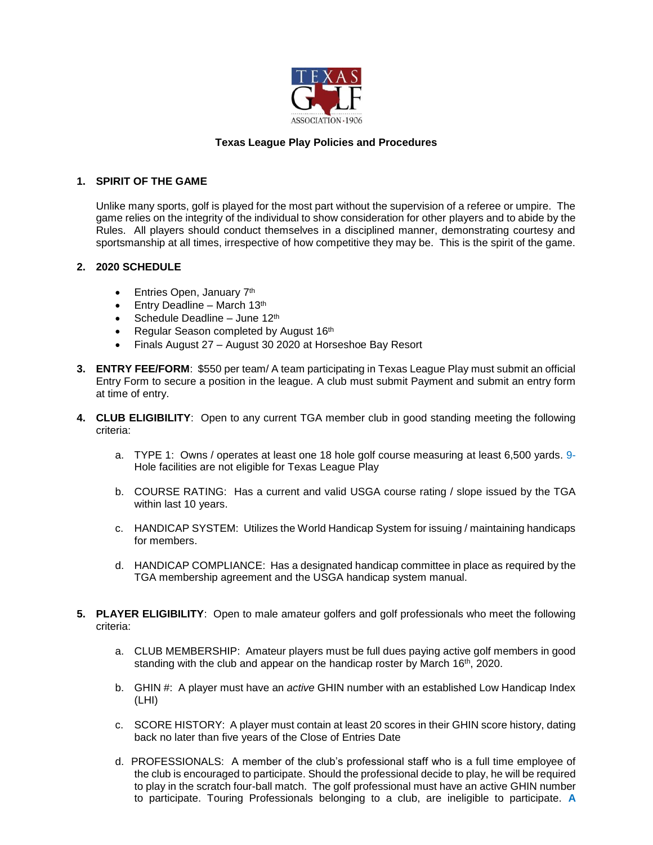

# **Texas League Play Policies and Procedures**

## **1. SPIRIT OF THE GAME**

Unlike many sports, golf is played for the most part without the supervision of a referee or umpire. The game relies on the integrity of the individual to show consideration for other players and to abide by the Rules. All players should conduct themselves in a disciplined manner, demonstrating courtesy and sportsmanship at all times, irrespective of how competitive they may be. This is the spirit of the game.

# **2. 2020 SCHEDULE**

- Entries Open, January 7<sup>th</sup>
- $\bullet$  Entry Deadline March 13<sup>th</sup>
- Schedule Deadline June 12<sup>th</sup>
- Regular Season completed by August 16th
- Finals August 27 August 30 2020 at Horseshoe Bay Resort
- **3. ENTRY FEE/FORM**: \$550 per team/ A team participating in Texas League Play must submit an official Entry Form to secure a position in the league. A club must submit Payment and submit an entry form at time of entry.
- **4. CLUB ELIGIBILITY**: Open to any current TGA member club in good standing meeting the following criteria:
	- a. TYPE 1: Owns / operates at least one 18 hole golf course measuring at least 6,500 yards. 9- Hole facilities are not eligible for Texas League Play
	- b. COURSE RATING: Has a current and valid USGA course rating / slope issued by the TGA within last 10 years.
	- c. HANDICAP SYSTEM: Utilizes the World Handicap System for issuing / maintaining handicaps for members.
	- d. HANDICAP COMPLIANCE: Has a designated handicap committee in place as required by the TGA membership agreement and the USGA handicap system manual.
- **5. PLAYER ELIGIBILITY**: Open to male amateur golfers and golf professionals who meet the following criteria:
	- a. CLUB MEMBERSHIP: Amateur players must be full dues paying active golf members in good standing with the club and appear on the handicap roster by March 16<sup>th</sup>, 2020.
	- b. GHIN #: A player must have an *active* GHIN number with an established Low Handicap Index (LHI)
	- c. SCORE HISTORY: A player must contain at least 20 scores in their GHIN score history, dating back no later than five years of the Close of Entries Date
	- d. PROFESSIONALS: A member of the club's professional staff who is a full time employee of the club is encouraged to participate. Should the professional decide to play, he will be required to play in the scratch four-ball match. The golf professional must have an active GHIN number to participate. Touring Professionals belonging to a club, are ineligible to participate. **A**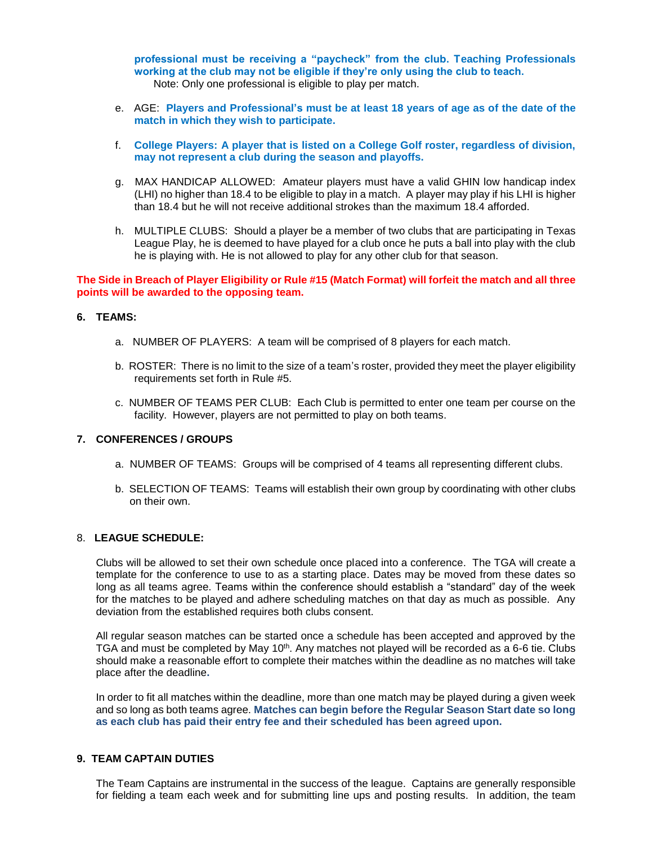**professional must be receiving a "paycheck" from the club. Teaching Professionals working at the club may not be eligible if they're only using the club to teach.** Note: Only one professional is eligible to play per match.

- e. AGE: **Players and Professional's must be at least 18 years of age as of the date of the match in which they wish to participate.**
- f. **College Players: A player that is listed on a College Golf roster, regardless of division, may not represent a club during the season and playoffs.**
- g. MAX HANDICAP ALLOWED: Amateur players must have a valid GHIN low handicap index (LHI) no higher than 18.4 to be eligible to play in a match. A player may play if his LHI is higher than 18.4 but he will not receive additional strokes than the maximum 18.4 afforded.
- h. MULTIPLE CLUBS: Should a player be a member of two clubs that are participating in Texas League Play, he is deemed to have played for a club once he puts a ball into play with the club he is playing with. He is not allowed to play for any other club for that season.

#### **The Side in Breach of Player Eligibility or Rule #15 (Match Format) will forfeit the match and all three points will be awarded to the opposing team.**

#### **6. TEAMS:**

- a. NUMBER OF PLAYERS: A team will be comprised of 8 players for each match.
- b. ROSTER: There is no limit to the size of a team's roster, provided they meet the player eligibility requirements set forth in Rule #5.
- c. NUMBER OF TEAMS PER CLUB: Each Club is permitted to enter one team per course on the facility. However, players are not permitted to play on both teams.

#### **7. CONFERENCES / GROUPS**

- a. NUMBER OF TEAMS: Groups will be comprised of 4 teams all representing different clubs.
- b. SELECTION OF TEAMS: Teams will establish their own group by coordinating with other clubs on their own.

#### 8. **LEAGUE SCHEDULE:**

Clubs will be allowed to set their own schedule once placed into a conference. The TGA will create a template for the conference to use to as a starting place. Dates may be moved from these dates so long as all teams agree. Teams within the conference should establish a "standard" day of the week for the matches to be played and adhere scheduling matches on that day as much as possible. Any deviation from the established requires both clubs consent.

All regular season matches can be started once a schedule has been accepted and approved by the TGA and must be completed by May 10<sup>th</sup>. Any matches not played will be recorded as a 6-6 tie. Clubs should make a reasonable effort to complete their matches within the deadline as no matches will take place after the deadline**.** 

In order to fit all matches within the deadline, more than one match may be played during a given week and so long as both teams agree. **Matches can begin before the Regular Season Start date so long as each club has paid their entry fee and their scheduled has been agreed upon.**

# **9. TEAM CAPTAIN DUTIES**

The Team Captains are instrumental in the success of the league. Captains are generally responsible for fielding a team each week and for submitting line ups and posting results. In addition, the team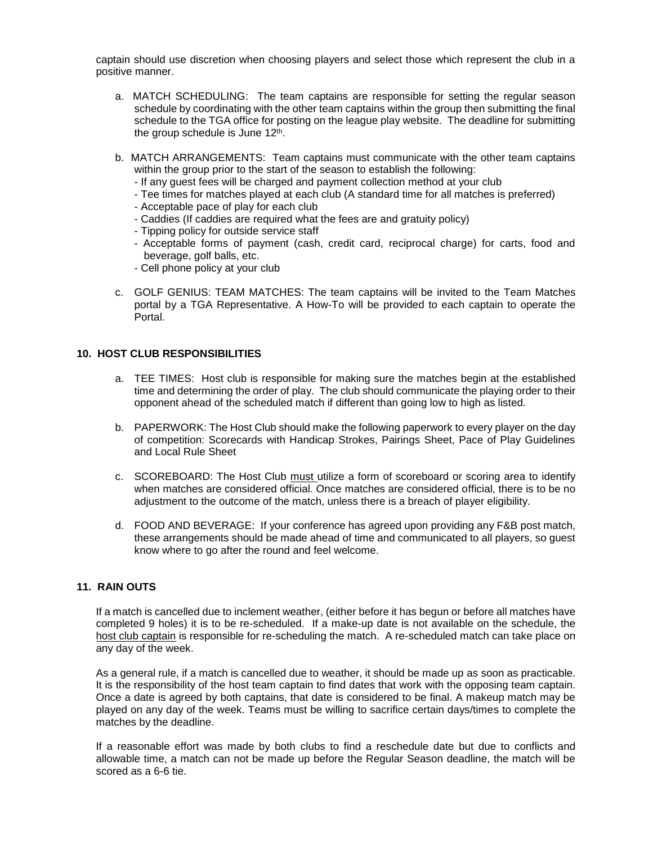captain should use discretion when choosing players and select those which represent the club in a positive manner.

- a. MATCH SCHEDULING: The team captains are responsible for setting the regular season schedule by coordinating with the other team captains within the group then submitting the final schedule to the TGA office for posting on the league play website. The deadline for submitting the group schedule is June 12<sup>th</sup>.
- b. MATCH ARRANGEMENTS: Team captains must communicate with the other team captains within the group prior to the start of the season to establish the following:
	- If any guest fees will be charged and payment collection method at your club
	- Tee times for matches played at each club (A standard time for all matches is preferred)
	- Acceptable pace of play for each club
	- Caddies (If caddies are required what the fees are and gratuity policy)
	- Tipping policy for outside service staff
	- Acceptable forms of payment (cash, credit card, reciprocal charge) for carts, food and beverage, golf balls, etc.
	- Cell phone policy at your club
- c. GOLF GENIUS: TEAM MATCHES: The team captains will be invited to the Team Matches portal by a TGA Representative. A How-To will be provided to each captain to operate the Portal.

# **10. HOST CLUB RESPONSIBILITIES**

- a. TEE TIMES: Host club is responsible for making sure the matches begin at the established time and determining the order of play. The club should communicate the playing order to their opponent ahead of the scheduled match if different than going low to high as listed.
- b. PAPERWORK: The Host Club should make the following paperwork to every player on the day of competition: Scorecards with Handicap Strokes, Pairings Sheet, Pace of Play Guidelines and Local Rule Sheet
- c. SCOREBOARD: The Host Club must utilize a form of scoreboard or scoring area to identify when matches are considered official. Once matches are considered official, there is to be no adjustment to the outcome of the match, unless there is a breach of player eligibility.
- d. FOOD AND BEVERAGE: If your conference has agreed upon providing any F&B post match, these arrangements should be made ahead of time and communicated to all players, so guest know where to go after the round and feel welcome.

# **11. RAIN OUTS**

If a match is cancelled due to inclement weather, (either before it has begun or before all matches have completed 9 holes) it is to be re-scheduled. If a make-up date is not available on the schedule, the host club captain is responsible for re-scheduling the match. A re-scheduled match can take place on any day of the week.

As a general rule, if a match is cancelled due to weather, it should be made up as soon as practicable. It is the responsibility of the host team captain to find dates that work with the opposing team captain. Once a date is agreed by both captains, that date is considered to be final. A makeup match may be played on any day of the week. Teams must be willing to sacrifice certain days/times to complete the matches by the deadline.

If a reasonable effort was made by both clubs to find a reschedule date but due to conflicts and allowable time, a match can not be made up before the Regular Season deadline, the match will be scored as a 6-6 tie.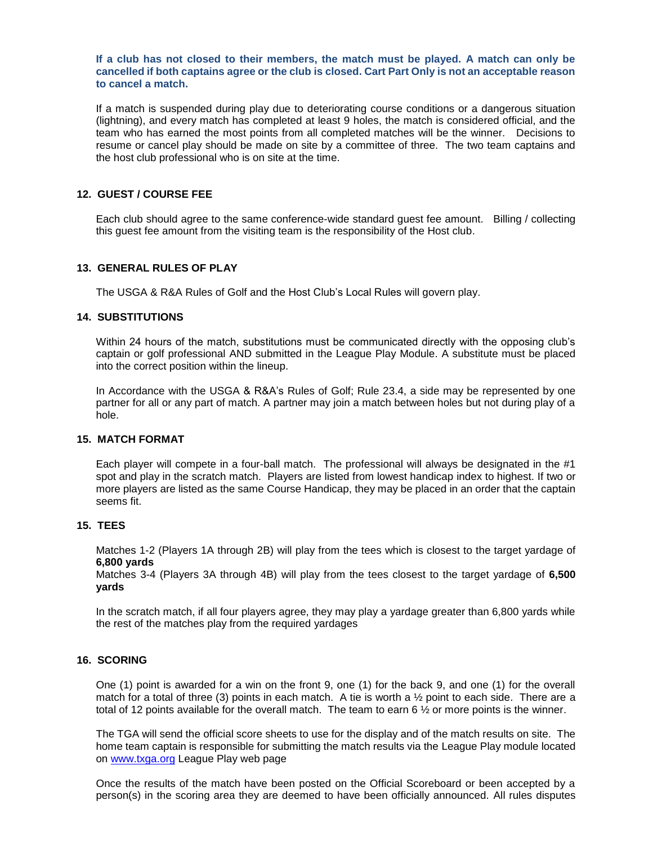**If a club has not closed to their members, the match must be played. A match can only be cancelled if both captains agree or the club is closed. Cart Part Only is not an acceptable reason to cancel a match.**

If a match is suspended during play due to deteriorating course conditions or a dangerous situation (lightning), and every match has completed at least 9 holes, the match is considered official, and the team who has earned the most points from all completed matches will be the winner. Decisions to resume or cancel play should be made on site by a committee of three. The two team captains and the host club professional who is on site at the time.

# **12. GUEST / COURSE FEE**

Each club should agree to the same conference-wide standard guest fee amount. Billing / collecting this guest fee amount from the visiting team is the responsibility of the Host club.

#### **13. GENERAL RULES OF PLAY**

The USGA & R&A Rules of Golf and the Host Club's Local Rules will govern play.

## **14. SUBSTITUTIONS**

Within 24 hours of the match, substitutions must be communicated directly with the opposing club's captain or golf professional AND submitted in the League Play Module. A substitute must be placed into the correct position within the lineup.

In Accordance with the USGA & R&A's Rules of Golf; Rule 23.4, a side may be represented by one partner for all or any part of match. A partner may join a match between holes but not during play of a hole.

# **15. MATCH FORMAT**

Each player will compete in a four-ball match. The professional will always be designated in the #1 spot and play in the scratch match. Players are listed from lowest handicap index to highest. If two or more players are listed as the same Course Handicap, they may be placed in an order that the captain seems fit.

## **15. TEES**

Matches 1-2 (Players 1A through 2B) will play from the tees which is closest to the target yardage of **6,800 yards**

Matches 3-4 (Players 3A through 4B) will play from the tees closest to the target yardage of **6,500 yards**

In the scratch match, if all four players agree, they may play a yardage greater than 6,800 yards while the rest of the matches play from the required yardages

## **16. SCORING**

One (1) point is awarded for a win on the front 9, one (1) for the back 9, and one (1) for the overall match for a total of three (3) points in each match. A tie is worth a ½ point to each side. There are a total of 12 points available for the overall match. The team to earn 6  $\frac{1}{2}$  or more points is the winner.

The TGA will send the official score sheets to use for the display and of the match results on site. The home team captain is responsible for submitting the match results via the League Play module located on [www.txga.org](http://www.txga.org/) League Play web page

Once the results of the match have been posted on the Official Scoreboard or been accepted by a person(s) in the scoring area they are deemed to have been officially announced. All rules disputes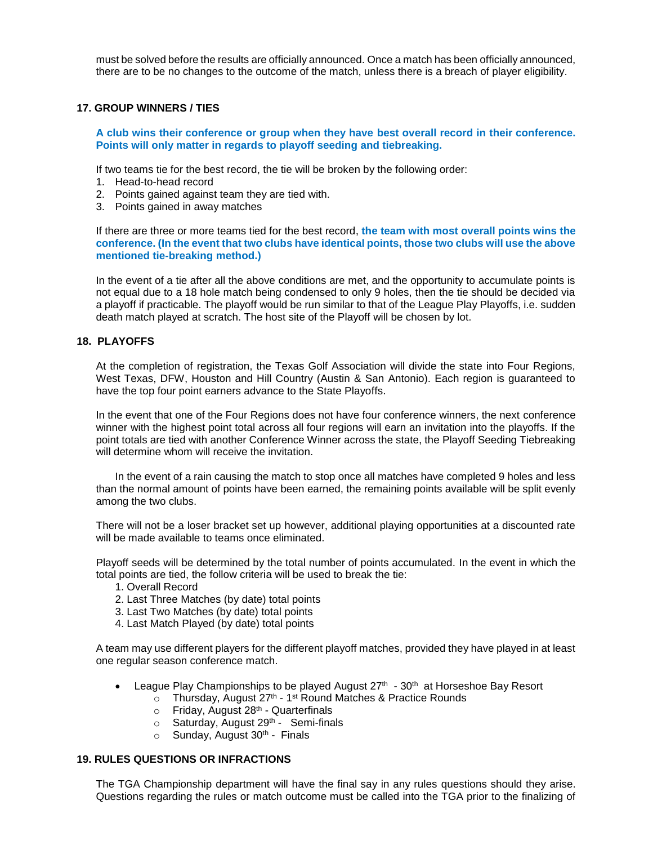must be solved before the results are officially announced. Once a match has been officially announced, there are to be no changes to the outcome of the match, unless there is a breach of player eligibility.

# **17. GROUP WINNERS / TIES**

**A club wins their conference or group when they have best overall record in their conference. Points will only matter in regards to playoff seeding and tiebreaking.**

If two teams tie for the best record, the tie will be broken by the following order:

- 1. Head-to-head record
- 2. Points gained against team they are tied with.
- 3. Points gained in away matches

If there are three or more teams tied for the best record, **the team with most overall points wins the conference. (In the event that two clubs have identical points, those two clubs will use the above mentioned tie-breaking method.)**

In the event of a tie after all the above conditions are met, and the opportunity to accumulate points is not equal due to a 18 hole match being condensed to only 9 holes, then the tie should be decided via a playoff if practicable. The playoff would be run similar to that of the League Play Playoffs, i.e. sudden death match played at scratch. The host site of the Playoff will be chosen by lot.

#### **18. PLAYOFFS**

At the completion of registration, the Texas Golf Association will divide the state into Four Regions, West Texas, DFW, Houston and Hill Country (Austin & San Antonio). Each region is guaranteed to have the top four point earners advance to the State Playoffs.

In the event that one of the Four Regions does not have four conference winners, the next conference winner with the highest point total across all four regions will earn an invitation into the playoffs. If the point totals are tied with another Conference Winner across the state, the Playoff Seeding Tiebreaking will determine whom will receive the invitation.

In the event of a rain causing the match to stop once all matches have completed 9 holes and less than the normal amount of points have been earned, the remaining points available will be split evenly among the two clubs.

There will not be a loser bracket set up however, additional playing opportunities at a discounted rate will be made available to teams once eliminated.

Playoff seeds will be determined by the total number of points accumulated. In the event in which the total points are tied, the follow criteria will be used to break the tie:

- 1. Overall Record
- 2. Last Three Matches (by date) total points
- 3. Last Two Matches (by date) total points
- 4. Last Match Played (by date) total points

A team may use different players for the different playoff matches, provided they have played in at least one regular season conference match.

- League Play Championships to be played August  $27<sup>th</sup>$   $30<sup>th</sup>$  at Horseshoe Bay Resort
	- $\circ$  Thursday, August 27<sup>th</sup> 1<sup>st</sup> Round Matches & Practice Rounds
		- $\circ$  Friday, August 28<sup>th</sup> Quarterfinals
		- $\circ$  Saturday, August 29<sup>th</sup> Semi-finals
		- $\circ$  Sunday, August 30<sup>th</sup> Finals

#### **19. RULES QUESTIONS OR INFRACTIONS**

The TGA Championship department will have the final say in any rules questions should they arise. Questions regarding the rules or match outcome must be called into the TGA prior to the finalizing of